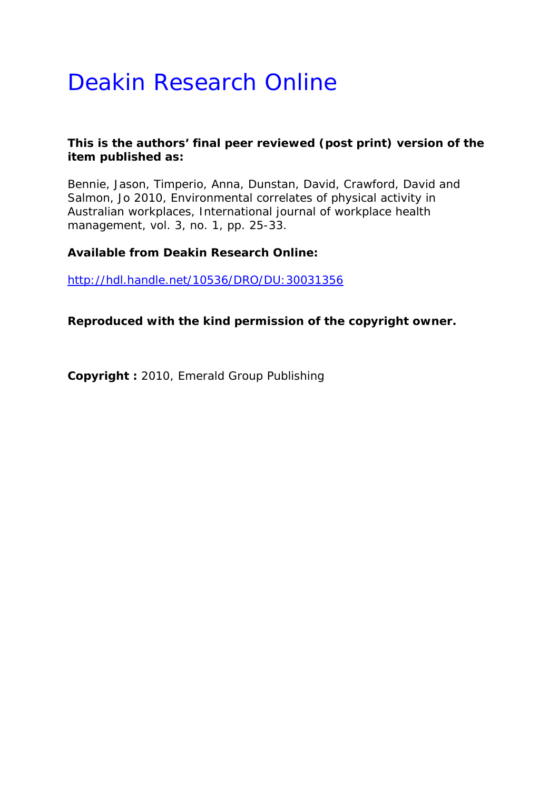# Deakin Research Online

# **This is the authors' final peer reviewed (post print) version of the item published as:**

Bennie, Jason, Timperio, Anna, Dunstan, David, Crawford, David and Salmon, Jo 2010, Environmental correlates of physical activity in Australian workplaces*, International journal of workplace health management*, vol. 3, no. 1, pp. 25-33.

# **Available from Deakin Research Online:**

http://hdl.handle.net/10536/DRO/DU:30031356

**Reproduced with the kind permission of the copyright owner.** 

**Copyright :** 2010, Emerald Group Publishing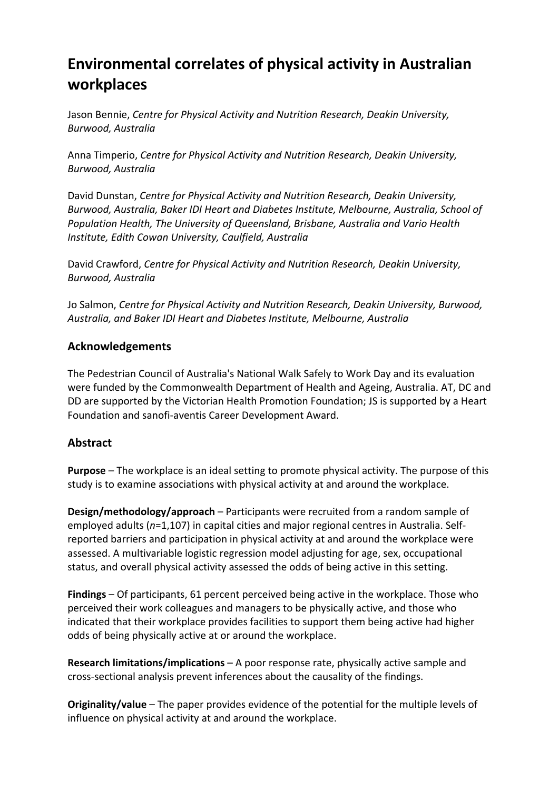# **Environmental correlates of physical activity in Australian workplaces**

Jason Bennie, *Centre for Physical Activity and Nutrition Research, Deakin University, Burwood, Australia*

Anna Timperio, *Centre for Physical Activity and Nutrition Research, Deakin University, Burwood, Australia*

David Dunstan, *Centre for Physical Activity and Nutrition Research, Deakin University, Burwood, Australia, Baker IDI Heart and Diabetes Institute, Melbourne, Australia, School of Population Health, The University of Queensland, Brisbane, Australia and Vario Health Institute, Edith Cowan University, Caulfield, Australia*

David Crawford, *Centre for Physical Activity and Nutrition Research, Deakin University, Burwood, Australia*

Jo Salmon, *Centre for Physical Activity and Nutrition Research, Deakin University, Burwood, Australia, and Baker IDI Heart and Diabetes Institute, Melbourne, Australia*

# **Acknowledgements**

The Pedestrian Council of Australia's National Walk Safely to Work Day and its evaluation were funded by the Commonwealth Department of Health and Ageing, Australia. AT, DC and DD are supported by the Victorian Health Promotion Foundation; JS is supported by a Heart Foundation and sanofi‐aventis Career Development Award.

#### **Abstract**

**Purpose** – The workplace is an ideal setting to promote physical activity. The purpose of this study is to examine associations with physical activity at and around the workplace.

**Design/methodology/approach** – Participants were recruited from a random sample of employed adults (*n*=1,107) in capital cities and major regional centres in Australia. Self‐ reported barriers and participation in physical activity at and around the workplace were assessed. A multivariable logistic regression model adjusting for age, sex, occupational status, and overall physical activity assessed the odds of being active in this setting.

**Findings** – Of participants, 61 percent perceived being active in the workplace. Those who perceived their work colleagues and managers to be physically active, and those who indicated that their workplace provides facilities to support them being active had higher odds of being physically active at or around the workplace.

**Research limitations/implications** – A poor response rate, physically active sample and cross‐sectional analysis prevent inferences about the causality of the findings.

**Originality/value** – The paper provides evidence of the potential for the multiple levels of influence on physical activity at and around the workplace.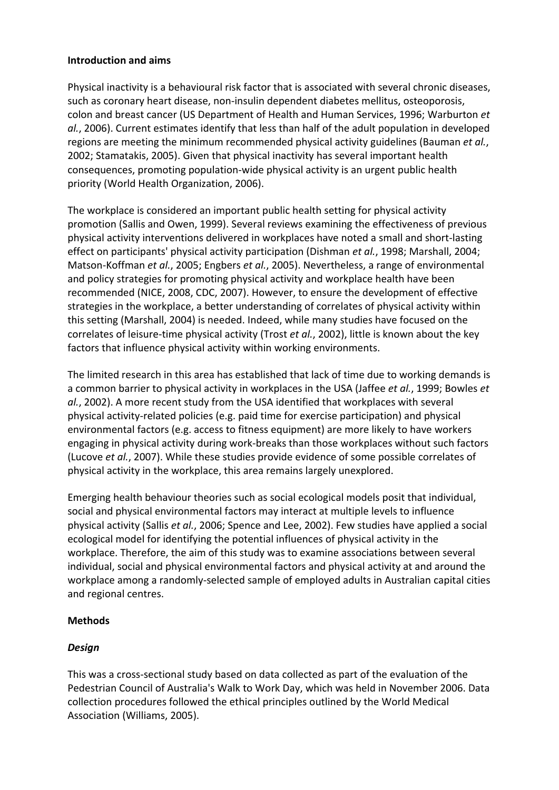#### **Introduction and aims**

Physical inactivity is a behavioural risk factor that is associated with several chronic diseases, such as coronary heart disease, non‐insulin dependent diabetes mellitus, osteoporosis, colon and breast cancer (US Department of Health and Human Services, 1996; Warburton *et al.*, 2006). Current estimates identify that less than half of the adult population in developed regions are meeting the minimum recommended physical activity guidelines (Bauman *et al.*, 2002; Stamatakis, 2005). Given that physical inactivity has several important health consequences, promoting population‐wide physical activity is an urgent public health priority (World Health Organization, 2006).

The workplace is considered an important public health setting for physical activity promotion (Sallis and Owen, 1999). Several reviews examining the effectiveness of previous physical activity interventions delivered in workplaces have noted a small and short‐lasting effect on participants' physical activity participation (Dishman *et al.*, 1998; Marshall, 2004; Matson‐Koffman *et al.*, 2005; Engbers *et al.*, 2005). Nevertheless, a range of environmental and policy strategies for promoting physical activity and workplace health have been recommended (NICE, 2008, CDC, 2007). However, to ensure the development of effective strategies in the workplace, a better understanding of correlates of physical activity within this setting (Marshall, 2004) is needed. Indeed, while many studies have focused on the correlates of leisure‐time physical activity (Trost *et al.*, 2002), little is known about the key factors that influence physical activity within working environments.

The limited research in this area has established that lack of time due to working demands is a common barrier to physical activity in workplaces in the USA (Jaffee *et al.*, 1999; Bowles *et al.*, 2002). A more recent study from the USA identified that workplaces with several physical activity‐related policies (e.g. paid time for exercise participation) and physical environmental factors (e.g. access to fitness equipment) are more likely to have workers engaging in physical activity during work‐breaks than those workplaces without such factors (Lucove *et al.*, 2007). While these studies provide evidence of some possible correlates of physical activity in the workplace, this area remains largely unexplored.

Emerging health behaviour theories such as social ecological models posit that individual, social and physical environmental factors may interact at multiple levels to influence physical activity (Sallis *et al.*, 2006; Spence and Lee, 2002). Few studies have applied a social ecological model for identifying the potential influences of physical activity in the workplace. Therefore, the aim of this study was to examine associations between several individual, social and physical environmental factors and physical activity at and around the workplace among a randomly-selected sample of employed adults in Australian capital cities and regional centres.

#### **Methods**

# *Design*

This was a cross‐sectional study based on data collected as part of the evaluation of the Pedestrian Council of Australia's Walk to Work Day, which was held in November 2006. Data collection procedures followed the ethical principles outlined by the World Medical Association (Williams, 2005).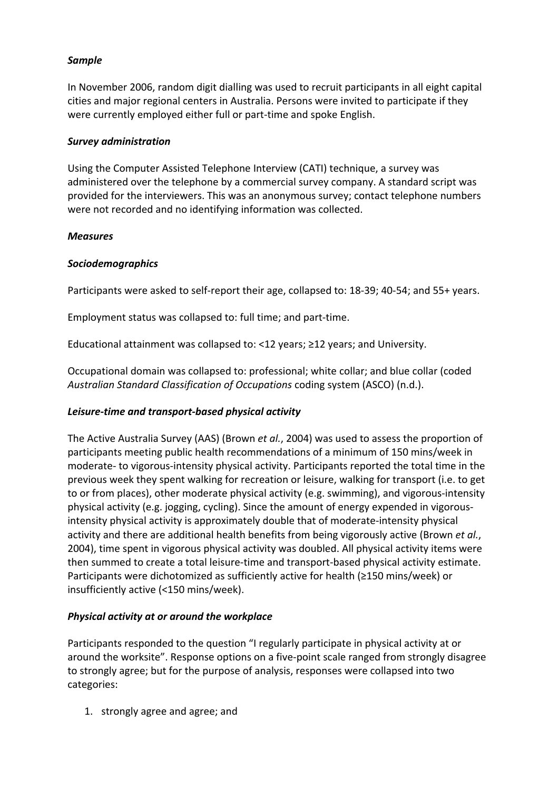#### *Sample*

In November 2006, random digit dialling was used to recruit participants in all eight capital cities and major regional centers in Australia. Persons were invited to participate if they were currently employed either full or part‐time and spoke English.

#### *Survey administration*

Using the Computer Assisted Telephone Interview (CATI) technique, a survey was administered over the telephone by a commercial survey company. A standard script was provided for the interviewers. This was an anonymous survey; contact telephone numbers were not recorded and no identifying information was collected.

#### *Measures*

#### *Sociodemographics*

Participants were asked to self-report their age, collapsed to: 18-39; 40-54; and 55+ years.

Employment status was collapsed to: full time; and part‐time.

Educational attainment was collapsed to: <12 years;  $\geq$ 12 years; and University.

Occupational domain was collapsed to: professional; white collar; and blue collar (coded *Australian Standard Classification of Occupations* coding system (ASCO) (n.d.).

#### *Leisure‐time and transport‐based physical activity*

The Active Australia Survey (AAS) (Brown *et al.*, 2004) was used to assess the proportion of participants meeting public health recommendations of a minimum of 150 mins/week in moderate‐ to vigorous‐intensity physical activity. Participants reported the total time in the previous week they spent walking for recreation or leisure, walking for transport (i.e. to get to or from places), other moderate physical activity (e.g. swimming), and vigorous‐intensity physical activity (e.g. jogging, cycling). Since the amount of energy expended in vigorous‐ intensity physical activity is approximately double that of moderate‐intensity physical activity and there are additional health benefits from being vigorously active (Brown *et al.*, 2004), time spent in vigorous physical activity was doubled. All physical activity items were then summed to create a total leisure‐time and transport‐based physical activity estimate. Participants were dichotomized as sufficiently active for health (≥150 mins/week) or insufficiently active (<150 mins/week).

#### *Physical activity at or around the workplace*

Participants responded to the question "I regularly participate in physical activity at or around the worksite". Response options on a five‐point scale ranged from strongly disagree to strongly agree; but for the purpose of analysis, responses were collapsed into two categories:

1. strongly agree and agree; and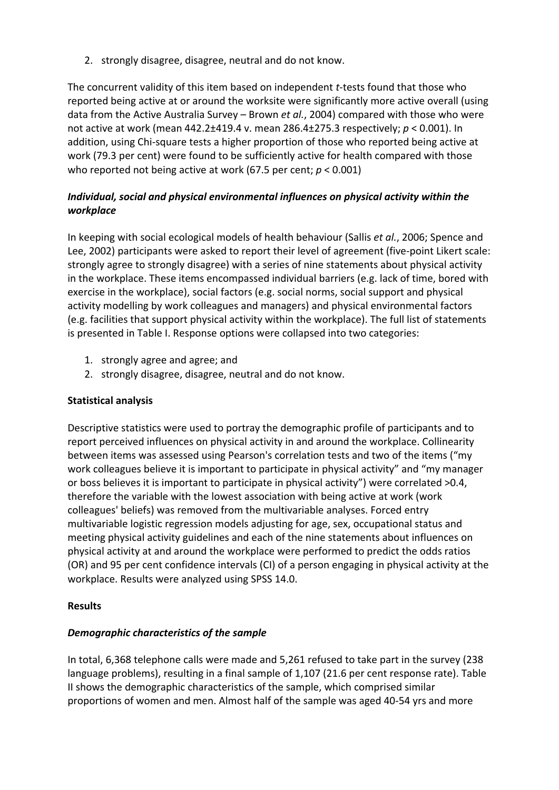2. strongly disagree, disagree, neutral and do not know.

The concurrent validity of this item based on independent *t*‐tests found that those who reported being active at or around the worksite were significantly more active overall (using data from the Active Australia Survey – Brown *et al.*, 2004) compared with those who were not active at work (mean 442.2±419.4 v. mean 286.4±275.3 respectively; *p* < 0.001). In addition, using Chi‐square tests a higher proportion of those who reported being active at work (79.3 per cent) were found to be sufficiently active for health compared with those who reported not being active at work (67.5 per cent; *p* < 0.001)

# *Individual, social and physical environmental influences on physical activity within the workplace*

In keeping with social ecological models of health behaviour (Sallis *et al.*, 2006; Spence and Lee, 2002) participants were asked to report their level of agreement (five-point Likert scale: strongly agree to strongly disagree) with a series of nine statements about physical activity in the workplace. These items encompassed individual barriers (e.g. lack of time, bored with exercise in the workplace), social factors (e.g. social norms, social support and physical activity modelling by work colleagues and managers) and physical environmental factors (e.g. facilities that support physical activity within the workplace). The full list of statements is presented in Table I. Response options were collapsed into two categories:

- 1. strongly agree and agree; and
- 2. strongly disagree, disagree, neutral and do not know.

#### **Statistical analysis**

Descriptive statistics were used to portray the demographic profile of participants and to report perceived influences on physical activity in and around the workplace. Collinearity between items was assessed using Pearson's correlation tests and two of the items ("my work colleagues believe it is important to participate in physical activity" and "my manager or boss believes it is important to participate in physical activity") were correlated >0.4, therefore the variable with the lowest association with being active at work (work colleagues' beliefs) was removed from the multivariable analyses. Forced entry multivariable logistic regression models adjusting for age, sex, occupational status and meeting physical activity guidelines and each of the nine statements about influences on physical activity at and around the workplace were performed to predict the odds ratios (OR) and 95 per cent confidence intervals (CI) of a person engaging in physical activity at the workplace. Results were analyzed using SPSS 14.0.

#### **Results**

# *Demographic characteristics of the sample*

In total, 6,368 telephone calls were made and 5,261 refused to take part in the survey (238 language problems), resulting in a final sample of 1,107 (21.6 per cent response rate). Table II shows the demographic characteristics of the sample, which comprised similar proportions of women and men. Almost half of the sample was aged 40‐54 yrs and more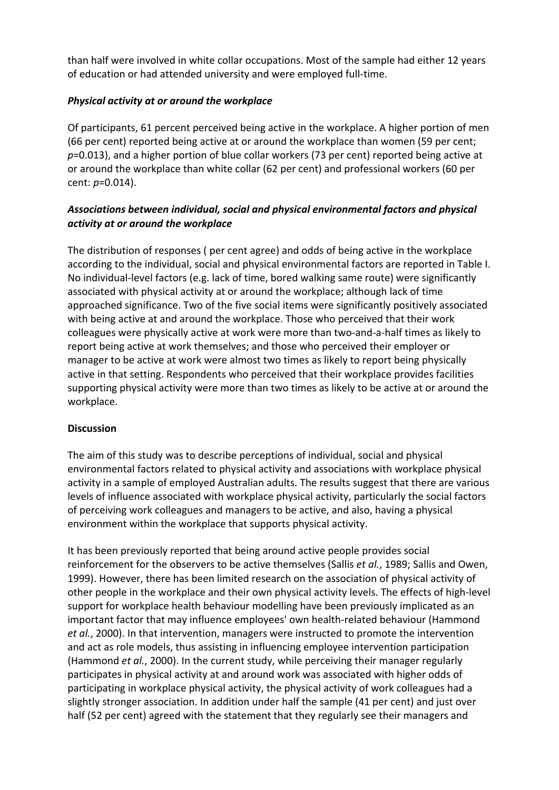than half were involved in white collar occupations. Most of the sample had either 12 years of education or had attended university and were employed full‐time.

### *Physical activity at or around the workplace*

Of participants, 61 percent perceived being active in the workplace. A higher portion of men (66 per cent) reported being active at or around the workplace than women (59 per cent; *p*=0.013), and a higher portion of blue collar workers (73 per cent) reported being active at or around the workplace than white collar (62 per cent) and professional workers (60 per cent: *p*=0.014).

# *Associations between individual, social and physical environmental factors and physical activity at or around the workplace*

The distribution of responses ( per cent agree) and odds of being active in the workplace according to the individual, social and physical environmental factors are reported in Table I. No individual‐level factors (e.g. lack of time, bored walking same route) were significantly associated with physical activity at or around the workplace; although lack of time approached significance. Two of the five social items were significantly positively associated with being active at and around the workplace. Those who perceived that their work colleagues were physically active at work were more than two‐and‐a‐half times as likely to report being active at work themselves; and those who perceived their employer or manager to be active at work were almost two times as likely to report being physically active in that setting. Respondents who perceived that their workplace provides facilities supporting physical activity were more than two times as likely to be active at or around the workplace.

#### **Discussion**

The aim of this study was to describe perceptions of individual, social and physical environmental factors related to physical activity and associations with workplace physical activity in a sample of employed Australian adults. The results suggest that there are various levels of influence associated with workplace physical activity, particularly the social factors of perceiving work colleagues and managers to be active, and also, having a physical environment within the workplace that supports physical activity.

It has been previously reported that being around active people provides social reinforcement for the observers to be active themselves (Sallis *et al.*, 1989; Sallis and Owen, 1999). However, there has been limited research on the association of physical activity of other people in the workplace and their own physical activity levels. The effects of high‐level support for workplace health behaviour modelling have been previously implicated as an important factor that may influence employees' own health-related behaviour (Hammond *et al.*, 2000). In that intervention, managers were instructed to promote the intervention and act as role models, thus assisting in influencing employee intervention participation (Hammond *et al.*, 2000). In the current study, while perceiving their manager regularly participates in physical activity at and around work was associated with higher odds of participating in workplace physical activity, the physical activity of work colleagues had a slightly stronger association. In addition under half the sample (41 per cent) and just over half (52 per cent) agreed with the statement that they regularly see their managers and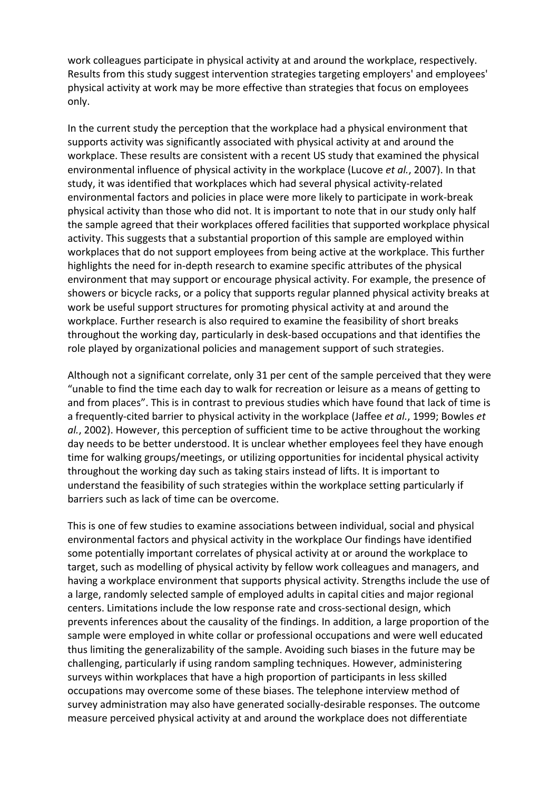work colleagues participate in physical activity at and around the workplace, respectively. Results from this study suggest intervention strategies targeting employers' and employees' physical activity at work may be more effective than strategies that focus on employees only.

In the current study the perception that the workplace had a physical environment that supports activity was significantly associated with physical activity at and around the workplace. These results are consistent with a recent US study that examined the physical environmental influence of physical activity in the workplace (Lucove *et al.*, 2007). In that study, it was identified that workplaces which had several physical activity‐related environmental factors and policies in place were more likely to participate in work‐break physical activity than those who did not. It is important to note that in our study only half the sample agreed that their workplaces offered facilities that supported workplace physical activity. This suggests that a substantial proportion of this sample are employed within workplaces that do not support employees from being active at the workplace. This further highlights the need for in‐depth research to examine specific attributes of the physical environment that may support or encourage physical activity. For example, the presence of showers or bicycle racks, or a policy that supports regular planned physical activity breaks at work be useful support structures for promoting physical activity at and around the workplace. Further research is also required to examine the feasibility of short breaks throughout the working day, particularly in desk‐based occupations and that identifies the role played by organizational policies and management support of such strategies.

Although not a significant correlate, only 31 per cent of the sample perceived that they were "unable to find the time each day to walk for recreation or leisure as a means of getting to and from places". This is in contrast to previous studies which have found that lack of time is a frequently‐cited barrier to physical activity in the workplace (Jaffee *et al.*, 1999; Bowles *et al.*, 2002). However, this perception of sufficient time to be active throughout the working day needs to be better understood. It is unclear whether employees feel they have enough time for walking groups/meetings, or utilizing opportunities for incidental physical activity throughout the working day such as taking stairs instead of lifts. It is important to understand the feasibility of such strategies within the workplace setting particularly if barriers such as lack of time can be overcome.

This is one of few studies to examine associations between individual, social and physical environmental factors and physical activity in the workplace Our findings have identified some potentially important correlates of physical activity at or around the workplace to target, such as modelling of physical activity by fellow work colleagues and managers, and having a workplace environment that supports physical activity. Strengths include the use of a large, randomly selected sample of employed adults in capital cities and major regional centers. Limitations include the low response rate and cross‐sectional design, which prevents inferences about the causality of the findings. In addition, a large proportion of the sample were employed in white collar or professional occupations and were well educated thus limiting the generalizability of the sample. Avoiding such biases in the future may be challenging, particularly if using random sampling techniques. However, administering surveys within workplaces that have a high proportion of participants in less skilled occupations may overcome some of these biases. The telephone interview method of survey administration may also have generated socially‐desirable responses. The outcome measure perceived physical activity at and around the workplace does not differentiate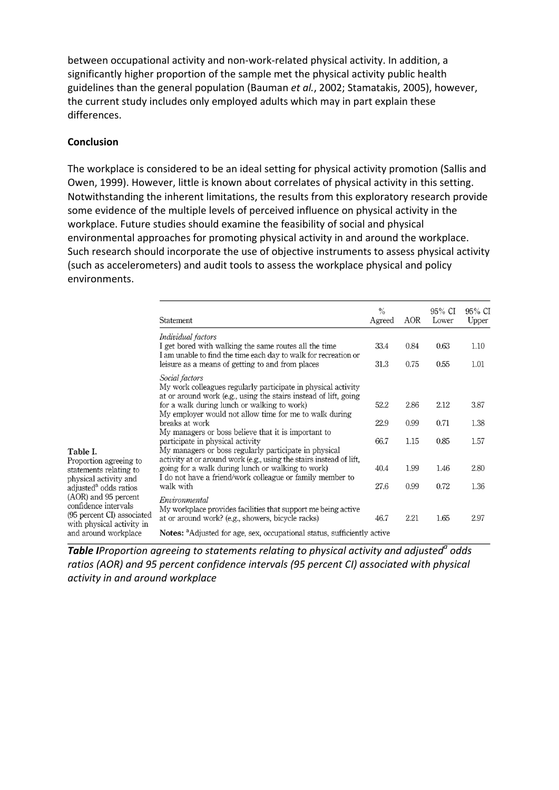between occupational activity and non‐work‐related physical activity. In addition, a significantly higher proportion of the sample met the physical activity public health guidelines than the general population (Bauman *et al.*, 2002; Stamatakis, 2005), however, the current study includes only employed adults which may in part explain these differences.

#### **Conclusion**

The workplace is considered to be an ideal setting for physical activity promotion (Sallis and Owen, 1999). However, little is known about correlates of physical activity in this setting. Notwithstanding the inherent limitations, the results from this exploratory research provide some evidence of the multiple levels of perceived influence on physical activity in the workplace. Future studies should examine the feasibility of social and physical environmental approaches for promoting physical activity in and around the workplace. Such research should incorporate the use of objective instruments to assess physical activity (such as accelerometers) and audit tools to assess the workplace physical and policy environments.

|                                                                                                                 | Statement                                                                                                                                                                                                                                                                          | $\%$<br>Agreed | AOR          | 95% CI<br>Lower | 95% CI<br>Upper |  |
|-----------------------------------------------------------------------------------------------------------------|------------------------------------------------------------------------------------------------------------------------------------------------------------------------------------------------------------------------------------------------------------------------------------|----------------|--------------|-----------------|-----------------|--|
|                                                                                                                 | Individual factors<br>I get bored with walking the same routes all the time<br>I am unable to find the time each day to walk for recreation or<br>leisure as a means of getting to and from places                                                                                 | 33.4<br>31.3   | 0.84<br>0.75 | 0.63<br>0.55    | 1.10<br>1.01    |  |
|                                                                                                                 | Social factors<br>My work colleagues regularly participate in physical activity<br>at or around work (e.g., using the stairs instead of lift, going<br>for a walk during lunch or walking to work)<br>My employer would not allow time for me to walk during                       | 52.2           | 2.86         | 2.12            | 3.87            |  |
|                                                                                                                 | breaks at work<br>My managers or boss believe that it is important to                                                                                                                                                                                                              | 22.9           | 0.99         | 0.71            | 1.38            |  |
| Table I.<br>Proportion agreeing to<br>statements relating to<br>physical activity and                           | participate in physical activity<br>My managers or boss regularly participate in physical<br>activity at or around work (e.g., using the stairs instead of lift,<br>going for a walk during lunch or walking to work)<br>I do not have a friend/work colleague or family member to | 66.7<br>40.4   | 1.15<br>1.99 | 0.85<br>1.46    | 1.57<br>2.80    |  |
| adjusted <sup>a</sup> odds ratios<br>(AOR) and 95 percent<br>confidence intervals<br>(95 percent CI) associated | walk with<br>Environmental<br>My workplace provides facilities that support me being active<br>at or around work? (e.g., showers, bicycle racks)                                                                                                                                   | 27.6<br>46.7   | 0.99<br>2.21 | 0.72<br>1.65    | 1.36<br>2.97    |  |
| with physical activity in<br>and around workplace                                                               | <b>Notes:</b> <sup>a</sup> Adjusted for age, sex, occupational status, sufficiently active                                                                                                                                                                                         |                |              |                 |                 |  |

*Table IProportion agreeing to statements relating to physical activity and adjusted<sup>a</sup> odds ratios (AOR) and 95 percent confidence intervals (95 percent CI) associated with physical activity in and around workplace*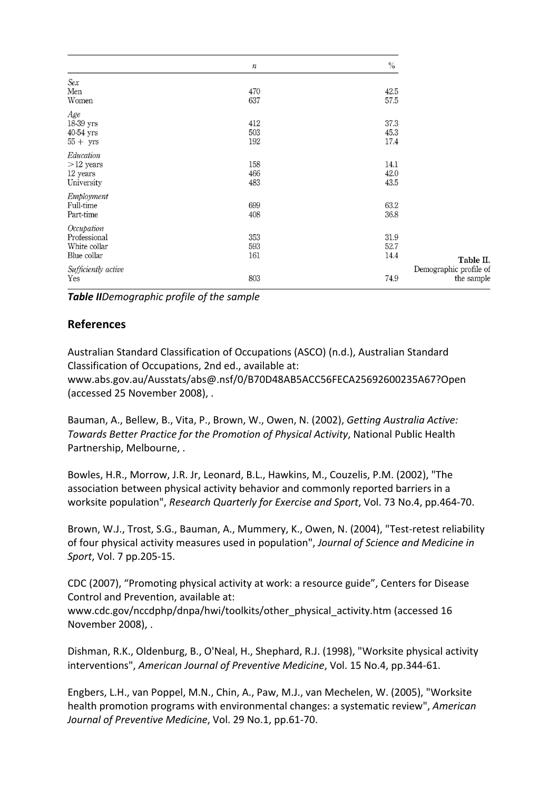|                     | $\boldsymbol{n}$ | $\%$                   |
|---------------------|------------------|------------------------|
| Sex                 |                  |                        |
| Men                 | 470              | 42.5                   |
| Women               | 637              | 57.5                   |
|                     |                  |                        |
| Age                 |                  |                        |
| 18-39 yrs           | 412              | 37.3                   |
| 40-54 yrs           | 503              | 45.3                   |
| $55 + yrs$          | 192              | 17.4                   |
| Education           |                  |                        |
| $>12$ years         | 158              | 14.1                   |
|                     | 466              | 42.0                   |
| 12 years            |                  |                        |
| University          | 483              | 43.5                   |
| Employment          |                  |                        |
| Full-time           | 699              | 63.2                   |
| Part-time           | 408              | 36.8                   |
|                     |                  |                        |
| Occupation          |                  |                        |
| Professional        | 353              | 31.9                   |
| White collar        | 593              | 52.7                   |
| Blue collar         | 161              | 14.4                   |
|                     |                  | Table II.              |
| Sufficiently active |                  | Demographic profile of |
| Yes                 | 803              | 74.9<br>the sample     |

*Table IIDemographic profile of the sample*

# **References**

Australian Standard Classification of Occupations (ASCO) (n.d.), Australian Standard Classification of Occupations, 2nd ed., available at:

www.abs.gov.au/Ausstats/abs@.nsf/0/B70D48AB5ACC56FECA25692600235A67?Open (accessed 25 November 2008), .

Bauman, A., Bellew, B., Vita, P., Brown, W., Owen, N. (2002), *Getting Australia Active: Towards Better Practice for the Promotion of Physical Activity*, National Public Health Partnership, Melbourne, .

Bowles, H.R., Morrow, J.R. Jr, Leonard, B.L., Hawkins, M., Couzelis, P.M. (2002), "The association between physical activity behavior and commonly reported barriers in a worksite population", *Research Quarterly for Exercise and Sport*, Vol. 73 No.4, pp.464‐70.

Brown, W.J., Trost, S.G., Bauman, A., Mummery, K., Owen, N. (2004), "Test-retest reliability of four physical activity measures used in population", *Journal of Science and Medicine in Sport*, Vol. 7 pp.205‐15.

CDC (2007), "Promoting physical activity at work: a resource guide", Centers for Disease Control and Prevention, available at:

www.cdc.gov/nccdphp/dnpa/hwi/toolkits/other\_physical\_activity.htm (accessed 16 November 2008), .

Dishman, R.K., Oldenburg, B., O'Neal, H., Shephard, R.J. (1998), "Worksite physical activity interventions", *American Journal of Preventive Medicine*, Vol. 15 No.4, pp.344‐61.

Engbers, L.H., van Poppel, M.N., Chin, A., Paw, M.J., van Mechelen, W. (2005), "Worksite health promotion programs with environmental changes: a systematic review", *American Journal of Preventive Medicine*, Vol. 29 No.1, pp.61‐70.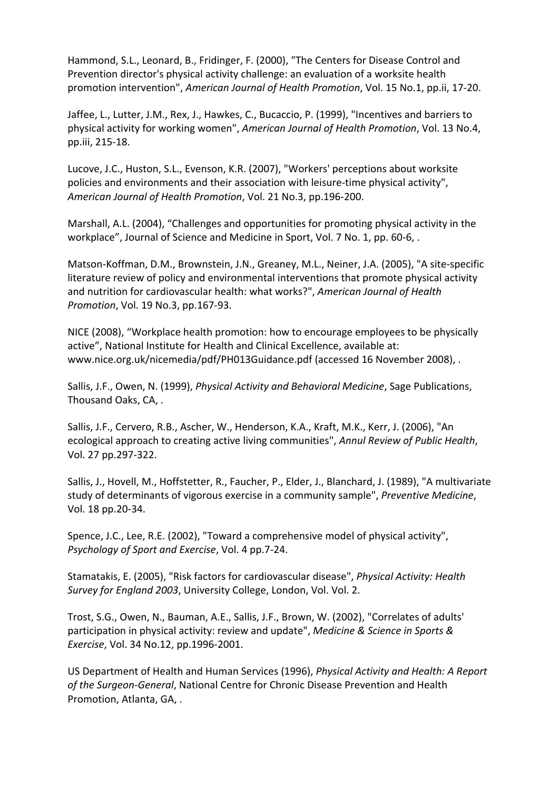Hammond, S.L., Leonard, B., Fridinger, F. (2000), "The Centers for Disease Control and Prevention director's physical activity challenge: an evaluation of a worksite health promotion intervention", *American Journal of Health Promotion*, Vol. 15 No.1, pp.ii, 17‐20.

Jaffee, L., Lutter, J.M., Rex, J., Hawkes, C., Bucaccio, P. (1999), "Incentives and barriers to physical activity for working women", *American Journal of Health Promotion*, Vol. 13 No.4, pp.iii, 215‐18.

Lucove, J.C., Huston, S.L., Evenson, K.R. (2007), "Workers' perceptions about worksite policies and environments and their association with leisure-time physical activity", *American Journal of Health Promotion*, Vol. 21 No.3, pp.196‐200.

Marshall, A.L. (2004), "Challenges and opportunities for promoting physical activity in the workplace", Journal of Science and Medicine in Sport, Vol. 7 No. 1, pp. 60‐6, .

Matson‐Koffman, D.M., Brownstein, J.N., Greaney, M.L., Neiner, J.A. (2005), "A site‐specific literature review of policy and environmental interventions that promote physical activity and nutrition for cardiovascular health: what works?", *American Journal of Health Promotion*, Vol. 19 No.3, pp.167‐93.

NICE (2008), "Workplace health promotion: how to encourage employees to be physically active", National Institute for Health and Clinical Excellence, available at: www.nice.org.uk/nicemedia/pdf/PH013Guidance.pdf (accessed 16 November 2008), .

Sallis, J.F., Owen, N. (1999), *Physical Activity and Behavioral Medicine*, Sage Publications, Thousand Oaks, CA, .

Sallis, J.F., Cervero, R.B., Ascher, W., Henderson, K.A., Kraft, M.K., Kerr, J. (2006), "An ecological approach to creating active living communities", *Annul Review of Public Health*, Vol. 27 pp.297‐322.

Sallis, J., Hovell, M., Hoffstetter, R., Faucher, P., Elder, J., Blanchard, J. (1989), "A multivariate study of determinants of vigorous exercise in a community sample", *Preventive Medicine*, Vol. 18 pp.20‐34.

Spence, J.C., Lee, R.E. (2002), "Toward a comprehensive model of physical activity", *Psychology of Sport and Exercise*, Vol. 4 pp.7‐24.

Stamatakis, E. (2005), "Risk factors for cardiovascular disease", *Physical Activity: Health Survey for England 2003*, University College, London, Vol. Vol. 2.

Trost, S.G., Owen, N., Bauman, A.E., Sallis, J.F., Brown, W. (2002), "Correlates of adults' participation in physical activity: review and update", *Medicine & Science in Sports & Exercise*, Vol. 34 No.12, pp.1996‐2001.

US Department of Health and Human Services (1996), *Physical Activity and Health: A Report of the Surgeon‐General*, National Centre for Chronic Disease Prevention and Health Promotion, Atlanta, GA, .